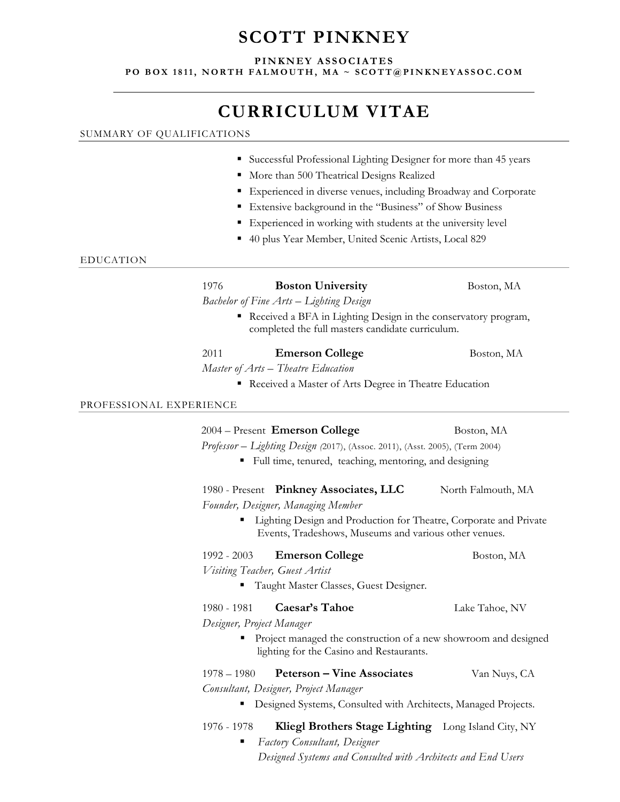# **SCOTT PINKNEY**

## **PINKNEY ASSOCIATES**

**PO BOX 1811, NORTH FALMOUTH, MA ~ SCOTT@PINKNEYASSOC.COM** 

# **CURRICULUM VITAE**

## SUMMARY OF QUALIFICATIONS

|  |  | • Successful Professional Lighting Designer for more than 45 years |  |  |  |  |  |
|--|--|--------------------------------------------------------------------|--|--|--|--|--|
|--|--|--------------------------------------------------------------------|--|--|--|--|--|

- $\blacksquare$  More than 500 Theatrical Designs Realized
- Experienced in diverse venues, including Broadway and Corporate
- Extensive background in the "Business" of Show Business
- Experienced in working with students at the university level
- 40 plus Year Member, United Scenic Artists, Local 829

## EDUCATION

| 1976 | <b>Boston University</b> |  |
|------|--------------------------|--|
|------|--------------------------|--|

Boston, MA

*Bachelor of Fine Arts – Lighting Design* 

 Received a BFA in Lighting Design in the conservatory program, completed the full masters candidate curriculum.

| 2011 | <b>Emerson College</b> | Boston, MA |
|------|------------------------|------------|
|------|------------------------|------------|

*Master of Arts – Theatre Education* 

Received a Master of Arts Degree in Theatre Education

## PROFESSIONAL EXPERIENCE

# 2004 – Present **Emerson College** Boston, MA

*Professor – Lighting Design (*2017), (Assoc. 2011), (Asst. 2005), (Term 2004)

Full time, tenured, teaching, mentoring, and designing

1980 - Present Pinkney Associates, LLC North Falmouth, MA

*Founder, Designer, Managing Member* 

■ Lighting Design and Production for Theatre, Corporate and Private Events, Tradeshows, Museums and various other venues.

1992 - 2003 **Emerson College** Boston, MA

*Visiting Teacher, Guest Artist* 

■ Taught Master Classes, Guest Designer.

1980 - 1981 **Caesar's Tahoe** Lake Tahoe, NV

*Designer, Project Manager* 

Project managed the construction of a new showroom and designed lighting for the Casino and Restaurants.

| <b>Peterson – Vine Associates</b><br>1978 – 1980 | Van Nuys, CA |
|--------------------------------------------------|--------------|
|--------------------------------------------------|--------------|

*Consultant, Designer, Project Manager* 

■ Designed Systems, Consulted with Architects, Managed Projects.

# 1976 - 1978 **Kliegl Brothers Stage Lighting** Long Island City, NY

 *Factory Consultant, Designer Designed Systems and Consulted with Architects and End Users* 

- 
-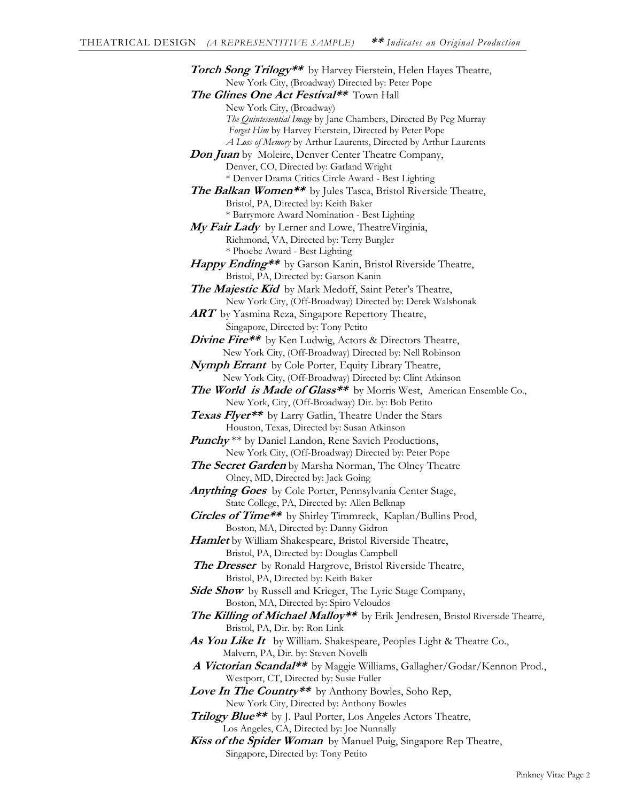**Torch Song Trilogy\*\*** by Harvey Fierstein, Helen Hayes Theatre, New York City, (Broadway) Directed by: Peter Pope **The Glines One Act Festival\*\*** Town Hall New York City, (Broadway) *The Quintessential Image* by Jane Chambers, Directed By Peg Murray *Forget Him* by Harvey Fierstein, Directed by Peter Pope *A Loss of Memory* by Arthur Laurents, Directed by Arthur Laurents **Don Juan** by Moleire, Denver Center Theatre Company, Denver, CO, Directed by: Garland Wright \* Denver Drama Critics Circle Award - Best Lighting **The Balkan Women\*\*** by Jules Tasca, Bristol Riverside Theatre, Bristol, PA, Directed by: Keith Baker \* Barrymore Award Nomination - Best Lighting **My Fair Lady** by Lerner and Lowe, TheatreVirginia, Richmond, VA, Directed by: Terry Burgler \* Phoebe Award - Best Lighting **Happy Ending\*\*** by Garson Kanin, Bristol Riverside Theatre, Bristol, PA, Directed by: Garson Kanin **The Majestic Kid** by Mark Medoff, Saint Peter's Theatre, New York City, (Off-Broadway) Directed by: Derek Walshonak **ART** by Yasmina Reza, Singapore Repertory Theatre, Singapore, Directed by: Tony Petito **Divine Fire\*\*** by Ken Ludwig, Actors & Directors Theatre, New York City, (Off-Broadway) Directed by: Nell Robinson **Nymph Errant** by Cole Porter, Equity Library Theatre, New York City, (Off-Broadway) Directed by: Clint Atkinson The World is Made of Glass<sup>\*\*</sup> by Morris West, American Ensemble Co., New York, City, (Off-Broadway) Dir. by: Bob Petito **Texas Flyer\*\*** by Larry Gatlin, Theatre Under the Stars Houston, Texas, Directed by: Susan Atkinson **Punchy** \*\* by Daniel Landon, Rene Savich Productions, New York City, (Off-Broadway) Directed by: Peter Pope **The Secret Garden** by Marsha Norman, The Olney Theatre Olney, MD, Directed by: Jack Going **Anything Goes** by Cole Porter, Pennsylvania Center Stage, State College, PA, Directed by: Allen Belknap **Circles of Time\*\*** by Shirley Timmreck, Kaplan/Bullins Prod, Boston, MA, Directed by: Danny Gidron **Hamlet** by William Shakespeare, Bristol Riverside Theatre, Bristol, PA, Directed by: Douglas Campbell **The Dresser** by Ronald Hargrove, Bristol Riverside Theatre, Bristol, PA, Directed by: Keith Baker **Side Show** by Russell and Krieger, The Lyric Stage Company, Boston, MA, Directed by: Spiro Veloudos **The Killing of Michael Malloy\*\*** by Erik Jendresen, Bristol Riverside Theatre, Bristol, PA, Dir. by: Ron Link As You Like It by William. Shakespeare, Peoples Light & Theatre Co., Malvern, PA, Dir. by: Steven Novelli  **A Victorian Scandal\*\*** by Maggie Williams, Gallagher/Godar/Kennon Prod., Westport, CT, Directed by: Susie Fuller Love In The Country\*\* by Anthony Bowles, Soho Rep, New York City, Directed by: Anthony Bowles **Trilogy Blue\*\*** by J. Paul Porter, Los Angeles Actors Theatre, Los Angeles, CA, Directed by: Joe Nunnally **Kiss of the Spider Woman** by Manuel Puig, Singapore Rep Theatre,

Singapore, Directed by: Tony Petito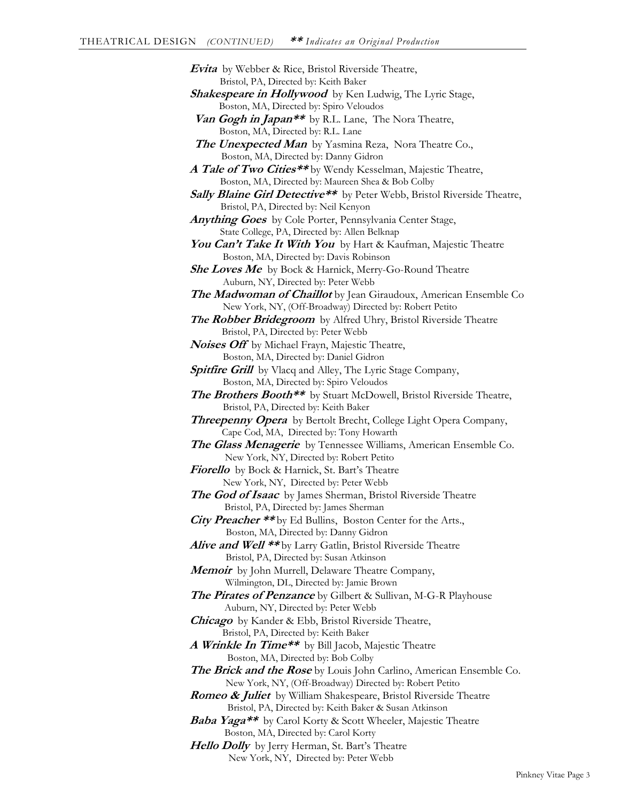| Evita by Webber & Rice, Bristol Riverside Theatre,                                                           |
|--------------------------------------------------------------------------------------------------------------|
| Bristol, PA, Directed by: Keith Baker                                                                        |
| <b>Shakespeare in Hollywood</b> by Ken Ludwig, The Lyric Stage,<br>Boston, MA, Directed by: Spiro Veloudos   |
| Van Gogh in Japan** by R.L. Lane, The Nora Theatre,                                                          |
| Boston, MA, Directed by: R.L. Lane                                                                           |
| <b>The Unexpected Man</b> by Yasmina Reza, Nora Theatre Co.,                                                 |
| Boston, MA, Directed by: Danny Gidron                                                                        |
| A Tale of Two Cities**by Wendy Kesselman, Majestic Theatre,                                                  |
| Boston, MA, Directed by: Maureen Shea & Bob Colby                                                            |
| Sally Blaine Girl Detective** by Peter Webb, Bristol Riverside Theatre,                                      |
| Bristol, PA, Directed by: Neil Kenyon                                                                        |
| Anything Goes by Cole Porter, Pennsylvania Center Stage,                                                     |
| State College, PA, Directed by: Allen Belknap                                                                |
| You Can't Take It With You by Hart & Kaufman, Majestic Theatre                                               |
| Boston, MA, Directed by: Davis Robinson                                                                      |
| She Loves Me by Bock & Harnick, Merry-Go-Round Theatre                                                       |
| Auburn, NY, Directed by: Peter Webb                                                                          |
| The Madwoman of Chaillot by Jean Giraudoux, American Ensemble Co                                             |
| New York, NY, (Off-Broadway) Directed by: Robert Petito                                                      |
| The Robber Bridegroom by Alfred Uhry, Bristol Riverside Theatre                                              |
| Bristol, PA, Directed by: Peter Webb                                                                         |
| Noises Off by Michael Frayn, Majestic Theatre,                                                               |
| Boston, MA, Directed by: Daniel Gidron                                                                       |
| <b>Spitfire Grill</b> by Vlacq and Alley, The Lyric Stage Company,                                           |
| Boston, MA, Directed by: Spiro Veloudos                                                                      |
| The Brothers Booth** by Stuart McDowell, Bristol Riverside Theatre,                                          |
| Bristol, PA, Directed by: Keith Baker                                                                        |
| Threepenny Opera by Bertolt Brecht, College Light Opera Company,                                             |
| Cape Cod, MA, Directed by: Tony Howarth                                                                      |
| The Glass Menagerie by Tennessee Williams, American Ensemble Co.<br>New York, NY, Directed by: Robert Petito |
| Fiorello by Bock & Harnick, St. Bart's Theatre                                                               |
| New York, NY, Directed by: Peter Webb                                                                        |
| The God of Isaac by James Sherman, Bristol Riverside Theatre                                                 |
| Bristol, PA, Directed by: James Sherman                                                                      |
| City Preacher ** by Ed Bullins, Boston Center for the Arts.,                                                 |
| Boston, MA, Directed by: Danny Gidron                                                                        |
| Alive and Well ** by Larry Gatlin, Bristol Riverside Theatre                                                 |
| Bristol, PA, Directed by: Susan Atkinson                                                                     |
| Memoir by John Murrell, Delaware Theatre Company,                                                            |
| Wilmington, DL, Directed by: Jamie Brown                                                                     |
| The Pirates of Penzance by Gilbert & Sullivan, M-G-R Playhouse                                               |
| Auburn, NY, Directed by: Peter Webb                                                                          |
| <b>Chicago</b> by Kander & Ebb, Bristol Riverside Theatre,                                                   |
| Bristol, PA, Directed by: Keith Baker                                                                        |
| A Wrinkle In Time** by Bill Jacob, Majestic Theatre                                                          |
| Boston, MA, Directed by: Bob Colby                                                                           |
| The Brick and the Rose by Louis John Carlino, American Ensemble Co.                                          |
| New York, NY, (Off-Broadway) Directed by: Robert Petito                                                      |
| Romeo & Juliet by William Shakespeare, Bristol Riverside Theatre                                             |
| Bristol, PA, Directed by: Keith Baker & Susan Atkinson                                                       |
| Baba Yaga** by Carol Korty & Scott Wheeler, Majestic Theatre                                                 |
| Boston, MA, Directed by: Carol Korty<br>11                                                                   |

**Hello Dolly** by Jerry Herman, St. Bart's Theatre New York, NY, Directed by: Peter Webb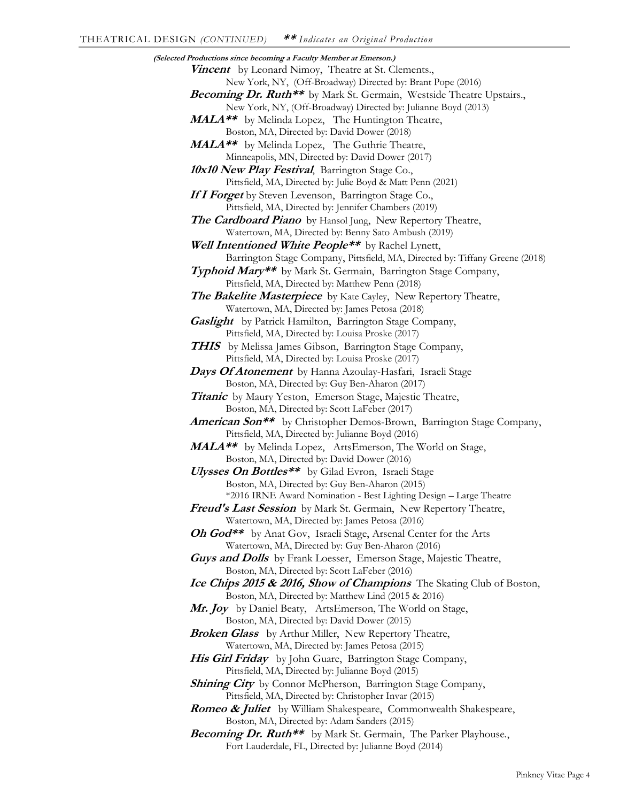**(Selected Productions since becoming a Faculty Member at Emerson.) Vincent** by Leonard Nimoy, Theatre at St. Clements., New York, NY, (Off-Broadway) Directed by: Brant Pope (2016) Becoming Dr. Ruth<sup>\*\*</sup> by Mark St. Germain, Westside Theatre Upstairs., New York, NY, (Off-Broadway) Directed by: Julianne Boyd (2013) **MALA\*\*** by Melinda Lopez, The Huntington Theatre, Boston, MA, Directed by: David Dower (2018) **MALA\*\*** by Melinda Lopez, The Guthrie Theatre, Minneapolis, MN, Directed by: David Dower (2017) **10x10 New Play Festival**, Barrington Stage Co., Pittsfield, MA, Directed by: Julie Boyd & Matt Penn (2021) **If I Forget** by Steven Levenson, Barrington Stage Co., Pittsfield, MA, Directed by: Jennifer Chambers (2019) **The Cardboard Piano** by Hansol Jung, New Repertory Theatre, Watertown, MA, Directed by: Benny Sato Ambush (2019) **Well Intentioned White People\*\*** by Rachel Lynett, Barrington Stage Company, Pittsfield, MA, Directed by: Tiffany Greene (2018) **Typhoid Mary\*\*** by Mark St. Germain, Barrington Stage Company, Pittsfield, MA, Directed by: Matthew Penn (2018) **The Bakelite Masterpiece** by Kate Cayley, New Repertory Theatre, Watertown, MA, Directed by: James Petosa (2018) **Gaslight** by Patrick Hamilton, Barrington Stage Company, Pittsfield, MA, Directed by: Louisa Proske (2017) **THIS** by Melissa James Gibson, Barrington Stage Company, Pittsfield, MA, Directed by: Louisa Proske (2017) **Days Of Atonement** by Hanna Azoulay-Hasfari, Israeli Stage Boston, MA, Directed by: Guy Ben-Aharon (2017) **Titanic** by Maury Yeston, Emerson Stage, Majestic Theatre, Boston, MA, Directed by: Scott LaFeber (2017) **American Son\*\*** by Christopher Demos-Brown, Barrington Stage Company, Pittsfield, MA, Directed by: Julianne Boyd (2016) **MALA\*\*** by Melinda Lopez, ArtsEmerson, The World on Stage, Boston, MA, Directed by: David Dower (2016) **Ulysses On Bottles\*\*** by Gilad Evron, Israeli Stage Boston, MA, Directed by: Guy Ben-Aharon (2015) \*2016 IRNE Award Nomination - Best Lighting Design – Large Theatre **Freud's Last Session** by Mark St. Germain, New Repertory Theatre, Watertown, MA, Directed by: James Petosa (2016) **Oh God\*\*** by Anat Gov, Israeli Stage, Arsenal Center for the Arts Watertown, MA, Directed by: Guy Ben-Aharon (2016) **Guys and Dolls** by Frank Loesser, Emerson Stage, Majestic Theatre, Boston, MA, Directed by: Scott LaFeber (2016) **Ice Chips 2015 & 2016, Show of Champions** The Skating Club of Boston, Boston, MA, Directed by: Matthew Lind (2015 & 2016) **Mr. Joy** by Daniel Beaty, ArtsEmerson, The World on Stage, Boston, MA, Directed by: David Dower (2015) **Broken Glass** by Arthur Miller, New Repertory Theatre, Watertown, MA, Directed by: James Petosa (2015) **His Girl Friday** by John Guare, Barrington Stage Company, Pittsfield, MA, Directed by: Julianne Boyd (2015) **Shining City** by Connor McPherson, Barrington Stage Company, Pittsfield, MA, Directed by: Christopher Invar (2015) **Romeo & Juliet** by William Shakespeare, Commonwealth Shakespeare, Boston, MA, Directed by: Adam Sanders (2015) **Becoming Dr. Ruth\*\*** by Mark St. Germain, The Parker Playhouse., Fort Lauderdale, FL, Directed by: Julianne Boyd (2014)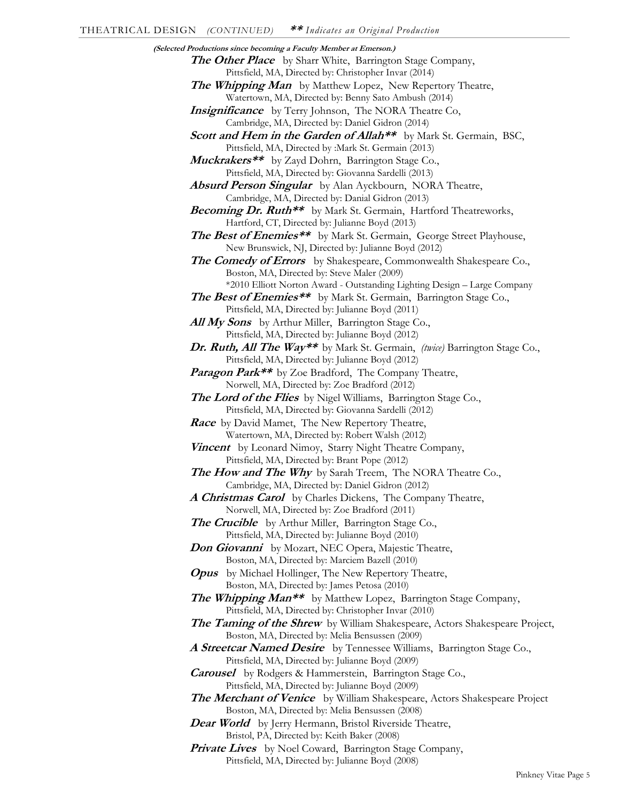**(Selected Productions since becoming a Faculty Member at Emerson.) The Other Place** by Sharr White, Barrington Stage Company, Pittsfield, MA, Directed by: Christopher Invar (2014) **The Whipping Man** by Matthew Lopez, New Repertory Theatre, Watertown, MA, Directed by: Benny Sato Ambush (2014) **Insignificance** by Terry Johnson, The NORA Theatre Co, Cambridge, MA, Directed by: Daniel Gidron (2014) **Scott and Hem in the Garden of Allah\*\*** by Mark St. Germain, BSC, Pittsfield, MA, Directed by :Mark St. Germain (2013) **Muckrakers\*\*** by Zayd Dohrn, Barrington Stage Co., Pittsfield, MA, Directed by: Giovanna Sardelli (2013) **Absurd Person Singular** by Alan Ayckbourn, NORA Theatre, Cambridge, MA, Directed by: Danial Gidron (2013) **Becoming Dr. Ruth\*\*** by Mark St. Germain, Hartford Theatreworks, Hartford, CT, Directed by: Julianne Boyd (2013) The Best of Enemies\*\* by Mark St. Germain, George Street Playhouse, New Brunswick, NJ, Directed by: Julianne Boyd (2012) The **Comedy of Errors** by Shakespeare, Commonwealth Shakespeare Co., Boston, MA, Directed by: Steve Maler (2009) \*2010 Elliott Norton Award - Outstanding Lighting Design – Large Company The Best of Enemies<sup>\*\*</sup> by Mark St. Germain, Barrington Stage Co., Pittsfield, MA, Directed by: Julianne Boyd (2011) All My Sons by Arthur Miller, Barrington Stage Co., Pittsfield, MA, Directed by: Julianne Boyd (2012) **Dr. Ruth, All The Way\*\*** by Mark St. Germain, *(twice)* Barrington Stage Co., Pittsfield, MA, Directed by: Julianne Boyd (2012) **Paragon Park\*\*** by Zoe Bradford, The Company Theatre, Norwell, MA, Directed by: Zoe Bradford (2012) **The Lord of the Flies** by Nigel Williams, Barrington Stage Co., Pittsfield, MA, Directed by: Giovanna Sardelli (2012) **Race** by David Mamet, The New Repertory Theatre, Watertown, MA, Directed by: Robert Walsh (2012) **Vincent** by Leonard Nimoy, Starry Night Theatre Company, Pittsfield, MA, Directed by: Brant Pope (2012) **The How and The Why** by Sarah Treem, The NORA Theatre Co., Cambridge, MA, Directed by: Daniel Gidron (2012) **A Christmas Carol** by Charles Dickens, The Company Theatre, Norwell, MA, Directed by: Zoe Bradford (2011) The Crucible by Arthur Miller, Barrington Stage Co., Pittsfield, MA, Directed by: Julianne Boyd (2010) **Don Giovanni** by Mozart, NEC Opera, Majestic Theatre, Boston, MA, Directed by: Marciem Bazell (2010) **Opus** by Michael Hollinger, The New Repertory Theatre, Boston, MA, Directed by: James Petosa (2010) **The Whipping Man\*\*** by Matthew Lopez, Barrington Stage Company, Pittsfield, MA, Directed by: Christopher Invar (2010) **The Taming of the Shrew** by William Shakespeare, Actors Shakespeare Project, Boston, MA, Directed by: Melia Bensussen (2009) **A Streetcar Named Desire** by Tennessee Williams, Barrington Stage Co., Pittsfield, MA, Directed by: Julianne Boyd (2009) **Carousel** by Rodgers & Hammerstein, Barrington Stage Co., Pittsfield, MA, Directed by: Julianne Boyd (2009) **The Merchant of Venice** by William Shakespeare, Actors Shakespeare Project Boston, MA, Directed by: Melia Bensussen (2008) Dear World by Jerry Hermann, Bristol Riverside Theatre, Bristol, PA, Directed by: Keith Baker (2008) **Private Lives** by Noel Coward, Barrington Stage Company, Pittsfield, MA, Directed by: Julianne Boyd (2008)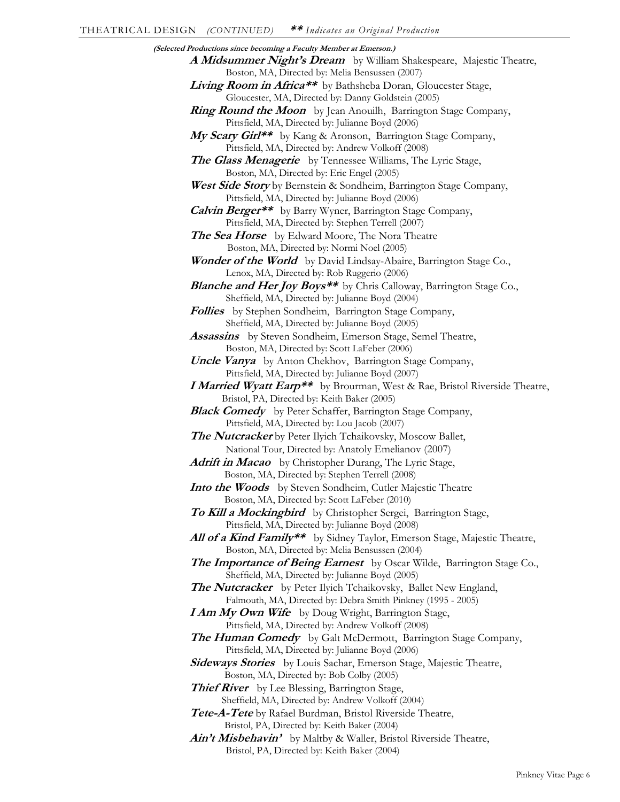| (Selected Productions since becoming a Faculty Member at Emerson.)                |  |
|-----------------------------------------------------------------------------------|--|
| A Midsummer Night's Dream by William Shakespeare, Majestic Theatre,               |  |
| Boston, MA, Directed by: Melia Bensussen (2007)                                   |  |
| Living Room in Africa** by Bathsheba Doran, Gloucester Stage,                     |  |
| Gloucester, MA, Directed by: Danny Goldstein (2005)                               |  |
| <b>Ring Round the Moon</b> by Jean Anouilh, Barrington Stage Company,             |  |
| Pittsfield, MA, Directed by: Julianne Boyd (2006)                                 |  |
| My Scary Girl <sup>**</sup> by Kang & Aronson, Barrington Stage Company,          |  |
| Pittsfield, MA, Directed by: Andrew Volkoff (2008)                                |  |
| The Glass Menagerie by Tennessee Williams, The Lyric Stage,                       |  |
| Boston, MA, Directed by: Eric Engel (2005)                                        |  |
| West Side Story by Bernstein & Sondheim, Barrington Stage Company,                |  |
| Pittsfield, MA, Directed by: Julianne Boyd (2006)                                 |  |
| <b>Calvin Berger**</b> by Barry Wyner, Barrington Stage Company,                  |  |
| Pittsfield, MA, Directed by: Stephen Terrell (2007)                               |  |
| <b>The Sea Horse</b> by Edward Moore, The Nora Theatre                            |  |
| Boston, MA, Directed by: Normi Noel (2005)                                        |  |
| Wonder of the World by David Lindsay-Abaire, Barrington Stage Co.,                |  |
| Lenox, MA, Directed by: Rob Ruggerio (2006)                                       |  |
| <b>Blanche and Her Joy Boys**</b> by Chris Calloway, Barrington Stage Co.,        |  |
| Sheffield, MA, Directed by: Julianne Boyd (2004)                                  |  |
| Follies by Stephen Sondheim, Barrington Stage Company,                            |  |
| Sheffield, MA, Directed by: Julianne Boyd (2005)                                  |  |
| <b>Assassins</b> by Steven Sondheim, Emerson Stage, Semel Theatre,                |  |
| Boston, MA, Directed by: Scott LaFeber (2006)                                     |  |
| <b>Uncle Vanya</b> by Anton Chekhov, Barrington Stage Company,                    |  |
| Pittsfield, MA, Directed by: Julianne Boyd (2007)                                 |  |
| <i>I Married Wyatt Earp**</i> by Brourman, West & Rae, Bristol Riverside Theatre, |  |
| Bristol, PA, Directed by: Keith Baker (2005)                                      |  |
| <b>Black Comedy</b> by Peter Schaffer, Barrington Stage Company,                  |  |
| Pittsfield, MA, Directed by: Lou Jacob (2007)                                     |  |
| <b>The Nutcracker</b> by Peter Ilyich Tchaikovsky, Moscow Ballet,                 |  |
|                                                                                   |  |
| National Tour, Directed by: Anatoly Emelianov (2007)                              |  |
| Adrift in Macao by Christopher Durang, The Lyric Stage,                           |  |
| Boston, MA, Directed by: Stephen Terrell (2008)                                   |  |
| Into the Woods by Steven Sondheim, Cutler Majestic Theatre                        |  |
| Boston, MA, Directed by: Scott LaFeber (2010)                                     |  |
| To Kill a Mockingbird by Christopher Sergei, Barrington Stage,                    |  |
| Pittsfield, MA, Directed by: Julianne Boyd (2008)                                 |  |
| All of a Kind Family** by Sidney Taylor, Emerson Stage, Majestic Theatre,         |  |
| Boston, MA, Directed by: Melia Bensussen (2004)                                   |  |
| <b>The Importance of Being Earnest</b> by Oscar Wilde, Barrington Stage Co.,      |  |
| Sheffield, MA, Directed by: Julianne Boyd (2005)                                  |  |
| The Nutcracker by Peter Ilyich Tchaikovsky, Ballet New England,                   |  |
| Falmouth, MA, Directed by: Debra Smith Pinkney (1995 - 2005)                      |  |
| <b>I Am My Own Wife</b> by Doug Wright, Barrington Stage,                         |  |
| Pittsfield, MA, Directed by: Andrew Volkoff (2008)                                |  |
| The Human Comedy by Galt McDermott, Barrington Stage Company,                     |  |
| Pittsfield, MA, Directed by: Julianne Boyd (2006)                                 |  |
| Sideways Stories by Louis Sachar, Emerson Stage, Majestic Theatre,                |  |
| Boston, MA, Directed by: Bob Colby (2005)                                         |  |
| <b>Thief River</b> by Lee Blessing, Barrington Stage,                             |  |
| Sheffield, MA, Directed by: Andrew Volkoff (2004)                                 |  |
| Tete-A-Tete by Rafael Burdman, Bristol Riverside Theatre,                         |  |
| Bristol, PA, Directed by: Keith Baker (2004)                                      |  |
| Ain't Misbehavin' by Maltby & Waller, Bristol Riverside Theatre,                  |  |
| Bristol, PA, Directed by: Keith Baker (2004)                                      |  |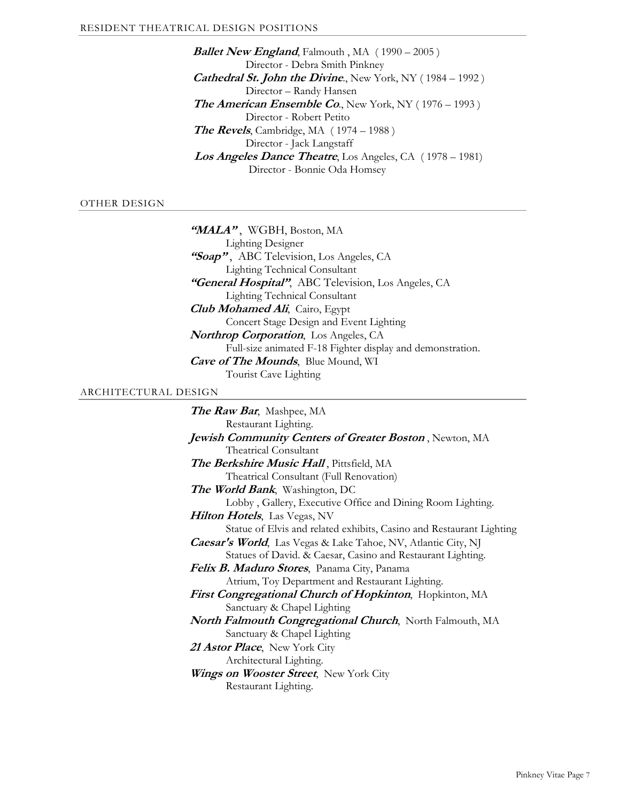**Ballet New England**, Falmouth, MA (1990 – 2005) Director - Debra Smith Pinkney **Cathedral St. John the Divine.**, New York, NY (1984 – 1992) Director – Randy Hansen *The American Ensemble Co.*, New York, NY (1976 – 1993) Director - Robert Petito **The Revels**, Cambridge, MA ( 1974 – 1988 ) Director - Jack Langstaff **Los Angeles Dance Theatre**, Los Angeles, CA ( 1978 – 1981) Director - Bonnie Oda Homsey

## OTHER DESIGN

"MALA", WGBH, Boston, MA Lighting Designer "Soap", ABC Television, Los Angeles, CA Lighting Technical Consultant **"General Hospital"**, ABC Television, Los Angeles, CA Lighting Technical Consultant **Club Mohamed Ali**, Cairo, Egypt Concert Stage Design and Event Lighting **Northrop Corporation**, Los Angeles, CA Full-size animated F-18 Fighter display and demonstration. **Cave of The Mounds**, Blue Mound, WI Tourist Cave Lighting

#### ARCHITECTURAL DESIGN

**The Raw Bar**, Mashpee, MA Restaurant Lighting. **Jewish Community Centers of Greater Boston** , Newton, MA Theatrical Consultant **The Berkshire Music Hall** , Pittsfield, MA Theatrical Consultant (Full Renovation) **The World Bank**, Washington, DC Lobby , Gallery, Executive Office and Dining Room Lighting. **Hilton Hotels**, Las Vegas, NV Statue of Elvis and related exhibits, Casino and Restaurant Lighting **Caesar's World**, Las Vegas & Lake Tahoe, NV, Atlantic City, NJ Statues of David. & Caesar, Casino and Restaurant Lighting. **Felix B. Maduro Stores**, Panama City, Panama Atrium, Toy Department and Restaurant Lighting. **First Congregational Church of Hopkinton**, Hopkinton, MA Sanctuary & Chapel Lighting **North Falmouth Congregational Church**, North Falmouth, MA Sanctuary & Chapel Lighting **21 Astor Place**, New York City Architectural Lighting. **Wings on Wooster Street**, New York City Restaurant Lighting.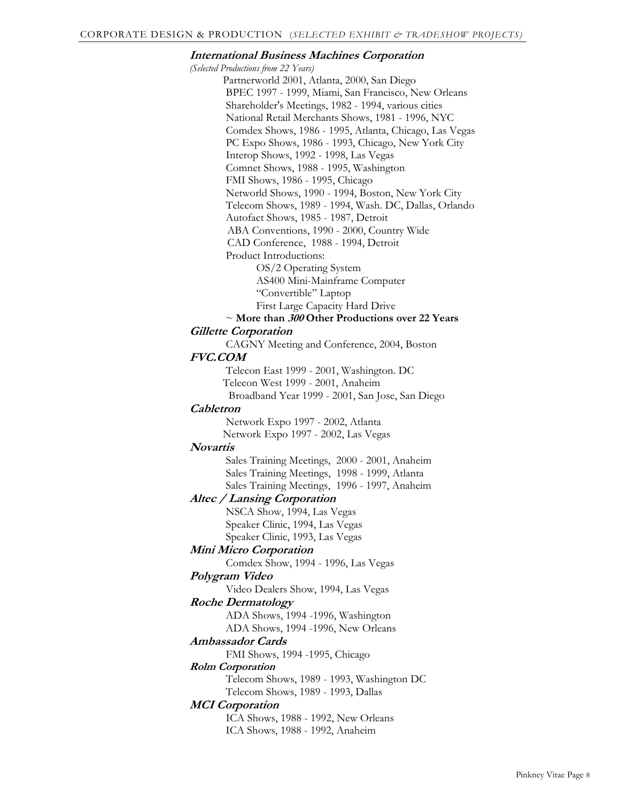## **International Business Machines Corporation**

*(Selected Productions from 22 Years)* Partnerworld 2001, Atlanta, 2000, San Diego BPEC 1997 - 1999, Miami, San Francisco, New Orleans Shareholder's Meetings, 1982 - 1994, various cities National Retail Merchants Shows, 1981 - 1996, NYC Comdex Shows, 1986 - 1995, Atlanta, Chicago, Las Vegas PC Expo Shows, 1986 - 1993, Chicago, New York City Interop Shows, 1992 - 1998, Las Vegas Comnet Shows, 1988 - 1995, Washington FMI Shows, 1986 - 1995, Chicago Networld Shows, 1990 - 1994, Boston, New York City Telecom Shows, 1989 - 1994, Wash. DC, Dallas, Orlando Autofact Shows, 1985 - 1987, Detroit ABA Conventions, 1990 - 2000, Country Wide CAD Conference, 1988 - 1994, Detroit Product Introductions: OS/2 Operating System AS400 Mini-Mainframe Computer

"Convertible" Laptop

First Large Capacity Hard Drive

## ~ **More than 300 Other Productions over 22 Years**

#### **Gillette Corporation**

CAGNY Meeting and Conference, 2004, Boston

## **FVC.COM**

 Telecon East 1999 - 2001, Washington. DC Telecon West 1999 - 2001, Anaheim Broadband Year 1999 - 2001, San Jose, San Diego

#### **Cabletron**

 Network Expo 1997 - 2002, Atlanta Network Expo 1997 - 2002, Las Vegas

## **Novartis**

 Sales Training Meetings, 2000 - 2001, Anaheim Sales Training Meetings, 1998 - 1999, Atlanta Sales Training Meetings, 1996 - 1997, Anaheim

## **Altec / Lansing Corporation**

 NSCA Show, 1994, Las Vegas Speaker Clinic, 1994, Las Vegas Speaker Clinic, 1993, Las Vegas

# **Mini Micro Corporation**

Comdex Show, 1994 - 1996, Las Vegas

## **Polygram Video**

Video Dealers Show, 1994, Las Vegas

## **Roche Dermatology**

ADA Shows, 1994 -1996, Washington

ADA Shows, 1994 -1996, New Orleans

## **Ambassador Cards**

FMI Shows, 1994 -1995, Chicago

## **Rolm Corporation**

 Telecom Shows, 1989 - 1993, Washington DC Telecom Shows, 1989 - 1993, Dallas

## **MCI Corporation**

 ICA Shows, 1988 - 1992, New Orleans ICA Shows, 1988 - 1992, Anaheim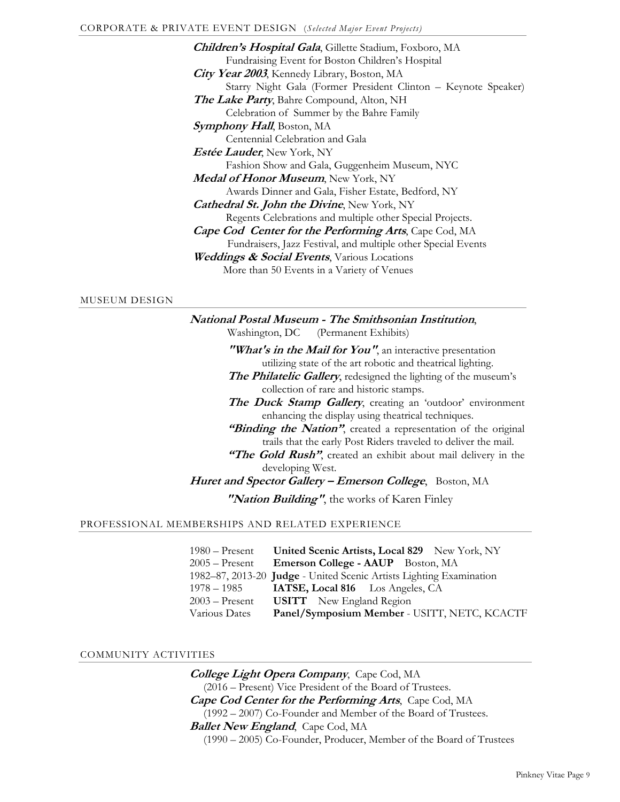**Children's Hospital Gala**, Gillette Stadium, Foxboro, MA Fundraising Event for Boston Children's Hospital **City Year 2003**, Kennedy Library, Boston, MA Starry Night Gala (Former President Clinton – Keynote Speaker) **The Lake Party**, Bahre Compound, Alton, NH Celebration of Summer by the Bahre Family **Symphony Hall**, Boston, MA Centennial Celebration and Gala **Estée Lauder**, New York, NY Fashion Show and Gala, Guggenheim Museum, NYC **Medal of Honor Museum**, New York, NY Awards Dinner and Gala, Fisher Estate, Bedford, NY **Cathedral St. John the Divine**, New York, NY Regents Celebrations and multiple other Special Projects. **Cape Cod Center for the Performing Arts**, Cape Cod, MA Fundraisers, Jazz Festival, and multiple other Special Events **Weddings & Social Events**, Various Locations More than 50 Events in a Variety of Venues

#### MUSEUM DESIGN

**National Postal Museum - The Smithsonian Institution**, Washington, DC (Permanent Exhibits) **"What's in the Mail for You"**, an interactive presentation utilizing state of the art robotic and theatrical lighting. **The Philatelic Gallery**, redesigned the lighting of the museum's collection of rare and historic stamps. **The Duck Stamp Gallery**, creating an 'outdoor' environment enhancing the display using theatrical techniques. "Binding the Nation", created a representation of the original trails that the early Post Riders traveled to deliver the mail. "The Gold Rush", created an exhibit about mail delivery in the

developing West. Huret and Spector Gallery - Emerson College, Boston, MA

 **"Nation Building"**, the works of Karen Finley

#### PROFESSIONAL MEMBERSHIPS AND RELATED EXPERIENCE

| $1980 -$ Present | United Scenic Artists, Local 829 New York, NY                       |
|------------------|---------------------------------------------------------------------|
| $2005 -$ Present | Emerson College - AAUP Boston, MA                                   |
|                  | 1982-87, 2013-20 Judge - United Scenic Artists Lighting Examination |
| 1978 – 1985      | <b>IATSE, Local 816</b> Los Angeles, CA                             |
| $2003$ – Present | <b>USITT</b> New England Region                                     |
| Various Dates    | Panel/Symposium Member - USITT, NETC, KCACTF                        |

#### COMMUNITY ACTIVITIES

**College Light Opera Company**, Cape Cod, MA (2016 – Present) Vice President of the Board of Trustees. **Cape Cod Center for the Performing Arts**, Cape Cod, MA (1992 – 2007) Co-Founder and Member of the Board of Trustees. **Ballet New England**, Cape Cod, MA (1990 – 2005) Co-Founder, Producer, Member of the Board of Trustees